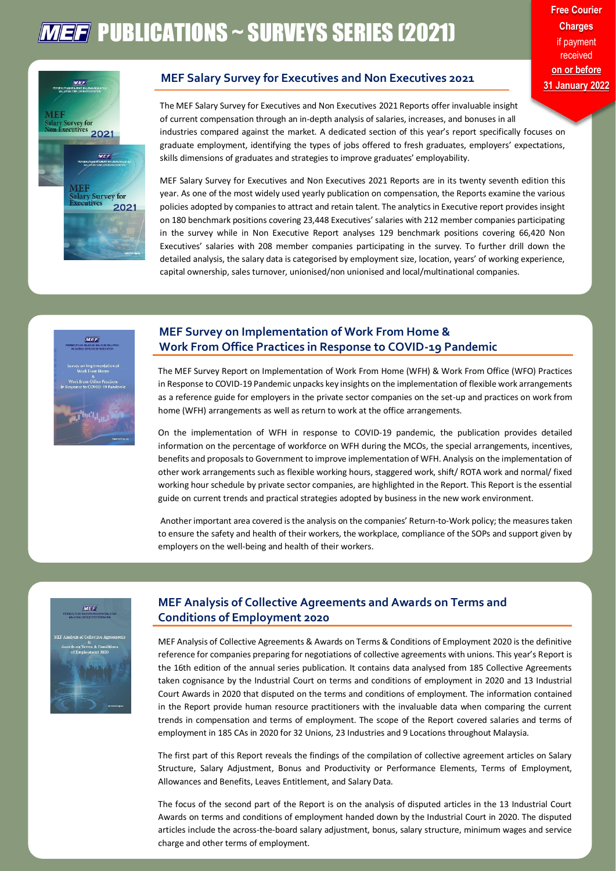# **MEF** PUBLICATIONS ~ SURVEYS SERIES (2021)



#### **MEF Salary Survey for Executives and Non Executives 2021**

The MEF Salary Survey for Executives and Non Executives 2021 Reports offer invaluable insight of current compensation through an in-depth analysis of salaries, increases, and bonuses in all industries compared against the market. A dedicated section of this year's report specifically focuses on graduate employment, identifying the types of jobs offered to fresh graduates, employers' expectations, skills dimensions of graduates and strategies to improve graduates' employability.

MEF Salary Survey for Executives and Non Executives 2021 Reports are in its twenty seventh edition this year. As one of the most widely used yearly publication on compensation, the Reports examine the various policies adopted by companies to attract and retain talent. The analytics in Executive report provides insight on 180 benchmark positions covering 23,448 Executives' salaries with 212 member companies participating in the survey while in Non Executive Report analyses 129 benchmark positions covering 66,420 Non Executives' salaries with 208 member companies participating in the survey. To further drill down the detailed analysis, the salary data is categorised by employment size, location, years' of working experience, capital ownership, sales turnover, unionised/non unionised and local/multinational companies.



#### **MEF Survey on Implementation of Work From Home & Work From Office Practices in Response to COVID-19 Pandemic**

The MEF Survey Report on Implementation of Work From Home (WFH) & Work From Office (WFO) Practices in Response to COVID-19 Pandemic unpacks key insights on the implementation of flexible work arrangements as a reference guide for employers in the private sector companies on the set-up and practices on work from home (WFH) arrangements as well as return to work at the office arrangements.

On the implementation of WFH in response to COVID-19 pandemic, the publication provides detailed information on the percentage of workforce on WFH during the MCOs, the special arrangements, incentives, benefits and proposals to Government to improve implementation of WFH. Analysis on the implementation of other work arrangements such as flexible working hours, staggered work, shift/ ROTA work and normal/ fixed working hour schedule by private sector companies, are highlighted in the Report. This Report is the essential guide on current trends and practical strategies adopted by business in the new work environment.

Another important area covered is the analysis on the companies' Return-to-Work policy; the measures taken to ensure the safety and health of their workers, the workplace, compliance of the SOPs and support given by employers on the well-being and health of their workers.



### **MEF Analysis of Collective Agreements and Awards on Terms and Conditions of Employment 2020**

MEF Analysis of Collective Agreements & Awards on Terms & Conditions of Employment 2020 is the definitive reference for companies preparing for negotiations of collective agreements with unions. This year's Report is the 16th edition of the annual series publication. It contains data analysed from 185 Collective Agreements taken cognisance by the Industrial Court on terms and conditions of employment in 2020 and 13 Industrial Court Awards in 2020 that disputed on the terms and conditions of employment. The information contained in the Report provide human resource practitioners with the invaluable data when comparing the current trends in compensation and terms of employment. The scope of the Report covered salaries and terms of employment in 185 CAs in 2020 for 32 Unions, 23 Industries and 9 Locations throughout Malaysia.

The first part of this Report reveals the findings of the compilation of collective agreement articles on Salary Structure, Salary Adjustment, Bonus and Productivity or Performance Elements, Terms of Employment, Allowances and Benefits, Leaves Entitlement, and Salary Data.

The focus of the second part of the Report is on the analysis of disputed articles in the 13 Industrial Court Awards on terms and conditions of employment handed down by the Industrial Court in 2020. The disputed articles include the across-the-board salary adjustment, bonus, salary structure, minimum wages and service charge and other terms of employment.

**Free Courier Charges** if payment received **on or before 31 January 2022**